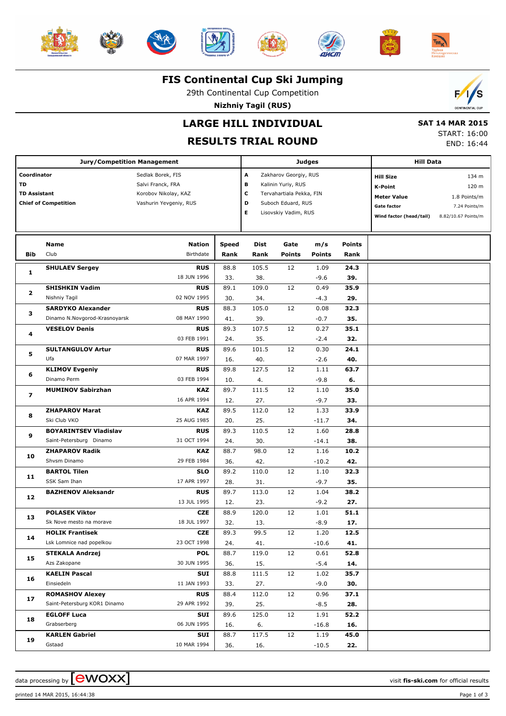













#### **FIS Continental Cup Ski Jumping**

29th Continental Cup Competition

**Nizhniy Tagil (RUS)**



### **LARGE HILL INDIVIDUAL**

## **RESULTS TRIAL ROUND**

 **SAT 14 MAR 2015** START: 16:00 END: 16:44

|                     | <b>Jury/Competition Management</b> |                        |              | <b>Judges</b>              | <b>Hill Data</b>     |               |               |                                   |                               |
|---------------------|------------------------------------|------------------------|--------------|----------------------------|----------------------|---------------|---------------|-----------------------------------|-------------------------------|
| Coordinator         |                                    | Sedlak Borek, FIS      |              | Α<br>Zakharov Georgiy, RUS |                      |               |               | <b>Hill Size</b>                  | 134 m                         |
| <b>TD</b>           |                                    | Salvi Franck, FRA      | в            | Kalinin Yuriy, RUS         |                      |               | K-Point       | 120 m                             |                               |
| <b>TD Assistant</b> |                                    | Korobov Nikolay, KAZ   | c            | Tervahartiala Pekka, FIN   |                      |               |               |                                   |                               |
|                     | <b>Chief of Competition</b>        | Vashurin Yevgeniy, RUS |              | D                          | Suboch Eduard, RUS   |               |               | <b>Meter Value</b><br>Gate factor | 1.8 Points/m<br>7.24 Points/m |
|                     |                                    |                        |              | Е                          | Lisovskiy Vadim, RUS |               |               |                                   |                               |
|                     |                                    |                        |              |                            |                      |               |               | Wind factor (head/tail)           | 8.82/10.67 Points/m           |
|                     |                                    |                        |              |                            |                      |               |               |                                   |                               |
|                     | <b>Name</b>                        | <b>Nation</b>          | <b>Speed</b> | Dist                       | Gate                 | m/s           | <b>Points</b> |                                   |                               |
| <b>Bib</b>          | Club                               | Birthdate              | Rank         | Rank                       | <b>Points</b>        | <b>Points</b> | Rank          |                                   |                               |
| 1                   | <b>SHULAEV Sergey</b>              | <b>RUS</b>             | 88.8         | 105.5                      | 12                   | 1.09          | 24.3          |                                   |                               |
|                     |                                    | 18 JUN 1996            | 33.          | 38.                        |                      | $-9.6$        | 39.           |                                   |                               |
| 2                   | <b>SHISHKIN Vadim</b>              | <b>RUS</b>             | 89.1         | 109.0                      | 12                   | 0.49          | 35.9          |                                   |                               |
|                     | Nishniy Tagil                      | 02 NOV 1995            | 30.          | 34.                        |                      | $-4.3$        | 29.           |                                   |                               |
| з                   | <b>SARDYKO Alexander</b>           | <b>RUS</b>             | 88.3         | 105.0                      | 12                   | 0.08          | 32.3          |                                   |                               |
|                     | Dinamo N.Novgorod-Krasnoyarsk      | 08 MAY 1990            | 41.          | 39.                        |                      | $-0.7$        | 35.           |                                   |                               |
| 4                   | <b>VESELOV Denis</b>               | <b>RUS</b>             | 89.3         | 107.5                      | 12                   | 0.27          | 35.1          |                                   |                               |
|                     |                                    | 03 FEB 1991            | 24.          | 35.                        |                      | $-2.4$        | 32.           |                                   |                               |
|                     | <b>SULTANGULOV Artur</b>           | <b>RUS</b>             | 89.6         | 101.5                      | 12                   | 0.30          | 24.1          |                                   |                               |
| 5                   | Ufa                                | 07 MAR 1997            | 16.          | 40.                        |                      | $-2.6$        | 40.           |                                   |                               |
|                     | <b>KLIMOV Evgeniy</b>              | <b>RUS</b>             | 89.8         | 127.5                      | 12                   | 1.11          | 63.7          |                                   |                               |
| 6                   | Dinamo Perm                        | 03 FEB 1994            | 10.          | 4.                         |                      | $-9.8$        | 6.            |                                   |                               |
| $\overline{ }$      | <b>MUMINOV Sabirzhan</b>           | <b>KAZ</b>             | 89.7         | 111.5                      | 12                   | 1.10          | 35.0          |                                   |                               |
|                     |                                    | 16 APR 1994            | 12.          | 27.                        |                      | $-9.7$        | 33.           |                                   |                               |
| 8                   | <b>ZHAPAROV Marat</b>              | <b>KAZ</b>             | 89.5         | 112.0                      | 12                   | 1.33          | 33.9          |                                   |                               |
|                     | Ski Club VKO                       | 25 AUG 1985            | 20.          | 25.                        |                      | $-11.7$       | 34.           |                                   |                               |
| 9                   | <b>BOYARINTSEV Vladislav</b>       | <b>RUS</b>             | 89.3         | 110.5                      | 12                   | 1.60          | 28.8          |                                   |                               |
|                     | Saint-Petersburg Dinamo            | 31 OCT 1994            | 24.          | 30.                        |                      | $-14.1$       | 38.           |                                   |                               |
| 10                  | <b>ZHAPAROV Radik</b>              | <b>KAZ</b>             | 88.7         | 98.0                       | 12                   | 1.16          | 10.2          |                                   |                               |
|                     | Shvsm Dinamo                       | 29 FEB 1984            | 36.          | 42.                        |                      | $-10.2$       | 42.           |                                   |                               |
| 11                  | <b>BARTOL Tilen</b>                | <b>SLO</b>             | 89.2         | 110.0                      | 12                   | 1.10          | 32.3          |                                   |                               |
|                     | SSK Sam Ihan                       | 17 APR 1997            | 28.          | 31.                        |                      | $-9.7$        | 35.           |                                   |                               |
| 12                  | <b>BAZHENOV Aleksandr</b>          | <b>RUS</b>             | 89.7         | 113.0                      | 12                   | 1.04          | 38.2          |                                   |                               |
|                     |                                    | 13 JUL 1995            | 12.          | 23.                        |                      | $-9.2$        | 27.           |                                   |                               |
| 13                  | <b>POLASEK Viktor</b>              | <b>CZE</b>             | 88.9         | 120.0                      | 12                   | 1.01          | 51.1          |                                   |                               |
|                     | Sk Nove mesto na morave            | 18 JUL 1997            | 32.          | 13.                        |                      | $-8.9$        | 17.           |                                   |                               |
| 14                  | <b>HOLIK Frantisek</b>             | <b>CZE</b>             | 89.3         | 99.5                       | 12                   | 1.20          | 12.5          |                                   |                               |
|                     | Lsk Lomnice nad popelkou           | 23 OCT 1998            | 24.          | 41.                        |                      | $-10.6$       | 41.           |                                   |                               |
| 15                  | <b>STEKALA Andrzej</b>             | <b>POL</b>             | 88.7         | 119.0                      | 12                   | 0.61          | 52.8          |                                   |                               |
|                     | Azs Zakopane                       | 30 JUN 1995            | 36.          | 15.                        |                      | $-5.4$        | 14.           |                                   |                               |
| 16                  | <b>KAELIN Pascal</b>               | <b>SUI</b>             | 88.8         | 111.5                      | 12                   | 1.02          | 35.7          |                                   |                               |
|                     | Einsiedeln                         | 11 JAN 1993            | 33.          | 27.                        |                      | $-9.0$        | 30.           |                                   |                               |
| 17                  | <b>ROMASHOV Alexey</b>             | <b>RUS</b>             | 88.4         | 112.0                      | 12                   | 0.96          | 37.1          |                                   |                               |
|                     | Saint-Petersburg KOR1 Dinamo       | 29 APR 1992            | 39.          | 25.                        |                      | $-8.5$        | 28.           |                                   |                               |
| 18                  | <b>EGLOFF Luca</b>                 | SUI                    | 89.6         | 125.0                      | 12                   | 1.91          | 52.2          |                                   |                               |
|                     | Grabserberg                        | 06 JUN 1995            | 16.          | 6.                         |                      | $-16.8$       | 16.           |                                   |                               |
| 19                  | <b>KARLEN Gabriel</b>              | SUI                    | 88.7         | 117.5                      | 12                   | 1.19          | 45.0          |                                   |                               |
|                     | Gstaad                             | 10 MAR 1994            | 36.          | 16.                        |                      | $-10.5$       | 22.           |                                   |                               |

data processing by **CWOXX** and the set of the set of the visit **fis-ski.com** for official results

printed 14 MAR 2015, 16:44:38 Page 1 of 3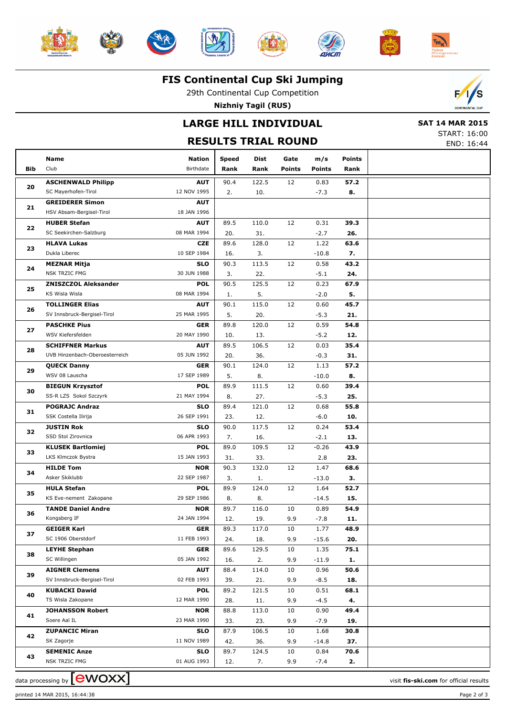













#### **FIS Continental Cup Ski Jumping**

29th Continental Cup Competition

**Nizhniy Tagil (RUS)**

## **LARGE HILL INDIVIDUAL**

 **SAT 14 MAR 2015** START: 16:00

Е

|            |                                      | <b>JIMILI. 10.00</b><br>END: 16:44 |               |              |                |                      |                       |  |
|------------|--------------------------------------|------------------------------------|---------------|--------------|----------------|----------------------|-----------------------|--|
| <b>Bib</b> | Name<br>Club                         | <b>Nation</b><br>Birthdate         | Speed<br>Rank | Dist<br>Rank | Gate<br>Points | m/s<br><b>Points</b> | <b>Points</b><br>Rank |  |
|            | <b>ASCHENWALD Philipp</b>            | <b>AUT</b>                         | 90.4          | 122.5        | 12             | 0.83                 | 57.2                  |  |
| 20         | SC Mayerhofen-Tirol                  | 12 NOV 1995                        | 2.            | 10.          |                | $-7.3$               | 8.                    |  |
|            | <b>GREIDERER Simon</b>               | <b>AUT</b>                         |               |              |                |                      |                       |  |
| 21         | HSV Absam-Bergisel-Tirol             | 18 JAN 1996                        |               |              |                |                      |                       |  |
|            | <b>HUBER Stefan</b>                  | <b>AUT</b>                         | 89.5          | 110.0        | 12             | 0.31                 | 39.3                  |  |
| 22         | SC Seekirchen-Salzburg               | 08 MAR 1994                        | 20.           | 31.          |                | $-2.7$               | 26.                   |  |
|            | <b>HLAVA Lukas</b>                   | <b>CZE</b>                         | 89.6          | 128.0        | 12             | 1.22                 | 63.6                  |  |
| 23         | Dukla Liberec                        | 10 SEP 1984                        | 16.           | 3.           |                | $-10.8$              | 7.                    |  |
|            | <b>MEZNAR Mitja</b>                  | <b>SLO</b>                         | 90.3          | 113.5        | 12             | 0.58                 | 43.2                  |  |
| 24         | <b>NSK TRZIC FMG</b>                 | 30 JUN 1988                        | 3.            | 22.          |                | $-5.1$               | 24.                   |  |
|            | <b>ZNISZCZOL Aleksander</b>          | <b>POL</b>                         | 90.5          | 125.5        | 12             | 0.23                 | 67.9                  |  |
| 25         | KS Wisla Wisla                       | 08 MAR 1994                        | 1.            | 5.           |                | $-2.0$               | 5.                    |  |
|            | <b>TOLLINGER Elias</b>               | <b>AUT</b>                         | 90.1          | 115.0        | 12             | 0.60                 | 45.7                  |  |
| 26         | SV Innsbruck-Bergisel-Tirol          | 25 MAR 1995                        | 5.            | 20.          |                | $-5.3$               | 21.                   |  |
|            | <b>PASCHKE Pius</b>                  | <b>GER</b>                         | 89.8          | 120.0        | 12             | 0.59                 | 54.8                  |  |
| 27         | WSV Kiefersfelden                    | 20 MAY 1990                        | 10.           | 13.          |                | $-5.2$               | 12.                   |  |
|            | <b>SCHIFFNER Markus</b>              | <b>AUT</b>                         | 89.5          | 106.5        | 12             | 0.03                 | 35.4                  |  |
| 28         | UVB Hinzenbach-Oberoesterreich       | 05 JUN 1992                        | 20.           | 36.          |                | $-0.3$               | 31.                   |  |
| 29         | <b>QUECK Danny</b>                   | <b>GER</b>                         | 90.1          | 124.0        | 12             | 1.13                 | 57.2                  |  |
|            | WSV 08 Lauscha                       | 17 SEP 1989                        | 5.            | 8.           |                | $-10.0$              | 8.                    |  |
| 30         | <b>BIEGUN Krzysztof</b>              | <b>POL</b>                         | 89.9          | 111.5        | 12             | 0.60                 | 39.4                  |  |
|            | SS-R LZS Sokol Szczyrk               | 21 MAY 1994                        | 8.            | 27.          |                | $-5.3$               | 25.                   |  |
| 31         | <b>POGRAJC Andraz</b>                | <b>SLO</b>                         | 89.4          | 121.0        | 12             | 0.68                 | 55.8                  |  |
|            | SSK Costella Ilirija                 | 26 SEP 1991                        | 23.           | 12.          |                | $-6.0$               | 10.                   |  |
| 32         | <b>JUSTIN Rok</b>                    | <b>SLO</b>                         | 90.0          | 117.5        | 12             | 0.24                 | 53.4                  |  |
|            | SSD Stol Zirovnica                   | 06 APR 1993                        | 7.            | 16.          |                | $-2.1$               | 13.                   |  |
| 33         | <b>KLUSEK Bartlomiej</b>             | <b>POL</b>                         | 89.0          | 109.5        | 12             | $-0.26$              | 43.9                  |  |
|            | LKS Klmczok Bystra                   | 15 JAN 1993                        | 31.           | 33.          |                | 2.8                  | 23.                   |  |
| 34         | <b>HILDE Tom</b>                     | <b>NOR</b>                         | 90.3          | 132.0        | 12             | 1.47                 | 68.6                  |  |
|            | Asker Skiklubb                       | 22 SEP 1987                        | 3.            | 1.           |                | $-13.0$              | з.                    |  |
| 35         | <b>HULA Stefan</b>                   | <b>POL</b>                         | 89.9          | 124.0        | 12             | 1.64                 | 52.7                  |  |
|            | KS Eve-nement Zakopane               | 29 SEP 1986                        | 8.            | 8.           |                | -14.5                | 15.                   |  |
| 36         | <b>TANDE Daniel Andre</b>            | <b>NOR</b>                         | 89.7          | 116.0        | 10             | 0.89                 | 54.9                  |  |
|            | Kongsberg IF                         | 24 JAN 1994                        | 12.           | 19.          | 9.9            | $-7.8$               | 11.                   |  |
| 37         | <b>GEIGER Karl</b>                   | <b>GER</b>                         | 89.3          | 117.0        | 10             | 1.77                 | 48.9                  |  |
|            | SC 1906 Oberstdorf                   | 11 FEB 1993                        | 24.           | 18.          | 9.9            | $-15.6$              | 20.                   |  |
| 38         | <b>LEYHE Stephan</b>                 | <b>GER</b>                         | 89.6          | 129.5        | 10             | 1.35                 | 75.1                  |  |
|            | SC Willingen                         | 05 JAN 1992                        | 16.           | 2.           | 9.9            | $-11.9$              | 1.                    |  |
| 39         | <b>AIGNER Clemens</b>                | <b>AUT</b>                         | 88.4          | 114.0        | 10             | 0.96                 | 50.6                  |  |
|            | SV Innsbruck-Bergisel-Tirol          | 02 FEB 1993                        | 39.           | 21.          | 9.9            | $-8.5$               | 18.                   |  |
| 40         | <b>KUBACKI Dawid</b>                 | <b>POL</b>                         | 89.2          | 121.5        | 10             | 0.51                 | 68.1                  |  |
|            | TS Wisla Zakopane                    | 12 MAR 1990                        | 28.           | 11.          | 9.9            | $-4.5$               | 4.                    |  |
| 41         | <b>JOHANSSON Robert</b>              | <b>NOR</b>                         | 88.8          | 113.0        | 10             | 0.90                 | 49.4                  |  |
|            | Soere Aal IL                         | 23 MAR 1990                        | 33.           | 23.          | 9.9            | $-7.9$               | 19.                   |  |
| 42         | <b>ZUPANCIC Miran</b>                | <b>SLO</b>                         | 87.9          | 106.5        | 10             | 1.68                 | 30.8                  |  |
|            | SK Zagorje                           | 11 NOV 1989                        | 42.           | 36.          | 9.9            | $-14.8$              | 37.                   |  |
| 43         | <b>SEMENIC Anze</b><br>NSK TRZIC FMG | <b>SLO</b><br>01 AUG 1993          | 89.7          | 124.5        | 10             | 0.84                 | 70.6<br>2.            |  |
|            |                                      |                                    | 12.           | 7.           | 9.9            | $-7.4$               |                       |  |

data processing by **CWOXX**  $\blacksquare$ 

printed 14 MAR 2015, 16:44:38 Page 2 of 3